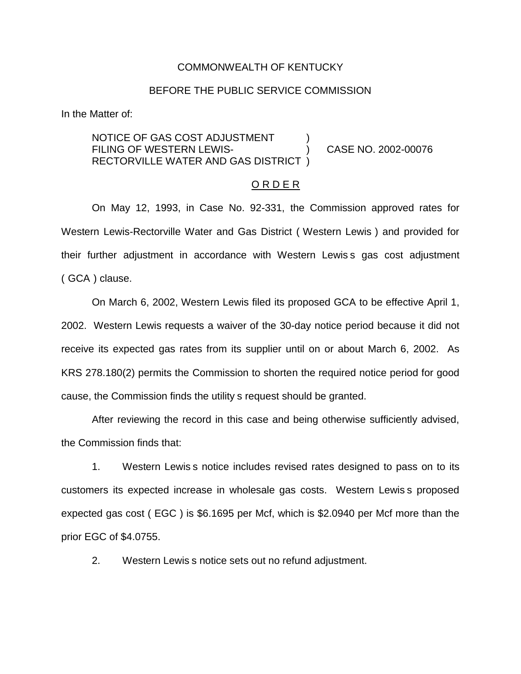#### COMMONWEALTH OF KENTUCKY

### BEFORE THE PUBLIC SERVICE COMMISSION

In the Matter of:

NOTICE OF GAS COST ADJUSTMENT FILING OF WESTERN LEWIS-<br>
(2002-00076) CASE NO. 2002-00076 RECTORVILLE WATER AND GAS DISTRICT )

### O R D E R

On May 12, 1993, in Case No. 92-331, the Commission approved rates for Western Lewis-Rectorville Water and Gas District ( Western Lewis ) and provided for their further adjustment in accordance with Western Lewis s gas cost adjustment ( GCA ) clause.

On March 6, 2002, Western Lewis filed its proposed GCA to be effective April 1, 2002. Western Lewis requests a waiver of the 30-day notice period because it did not receive its expected gas rates from its supplier until on or about March 6, 2002. As KRS 278.180(2) permits the Commission to shorten the required notice period for good cause, the Commission finds the utility s request should be granted.

After reviewing the record in this case and being otherwise sufficiently advised, the Commission finds that:

1. Western Lewis s notice includes revised rates designed to pass on to its customers its expected increase in wholesale gas costs. Western Lewis s proposed expected gas cost ( EGC ) is \$6.1695 per Mcf, which is \$2.0940 per Mcf more than the prior EGC of \$4.0755.

2. Western Lewis s notice sets out no refund adjustment.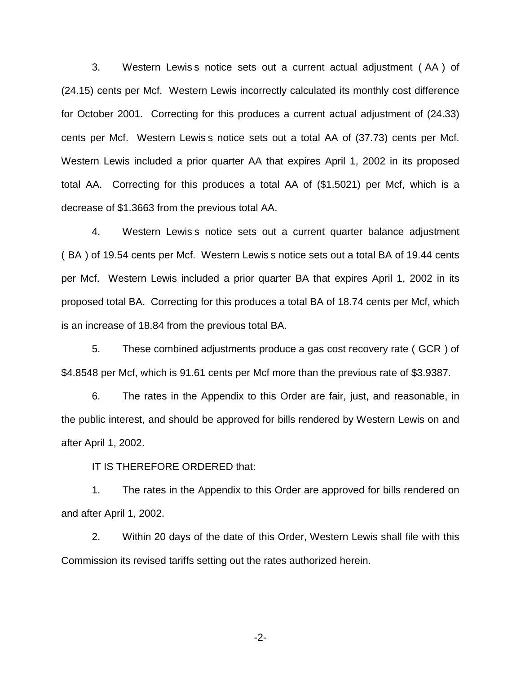3. Western Lewis s notice sets out a current actual adjustment ( AA ) of (24.15) cents per Mcf. Western Lewis incorrectly calculated its monthly cost difference for October 2001. Correcting for this produces a current actual adjustment of (24.33) cents per Mcf. Western Lewis s notice sets out a total AA of (37.73) cents per Mcf. Western Lewis included a prior quarter AA that expires April 1, 2002 in its proposed total AA. Correcting for this produces a total AA of (\$1.5021) per Mcf, which is a decrease of \$1.3663 from the previous total AA.

4. Western Lewis s notice sets out a current quarter balance adjustment ( BA ) of 19.54 cents per Mcf. Western Lewis s notice sets out a total BA of 19.44 cents per Mcf. Western Lewis included a prior quarter BA that expires April 1, 2002 in its proposed total BA. Correcting for this produces a total BA of 18.74 cents per Mcf, which is an increase of 18.84 from the previous total BA.

5. These combined adjustments produce a gas cost recovery rate ( GCR ) of \$4.8548 per Mcf, which is 91.61 cents per Mcf more than the previous rate of \$3.9387.

6. The rates in the Appendix to this Order are fair, just, and reasonable, in the public interest, and should be approved for bills rendered by Western Lewis on and after April 1, 2002.

IT IS THEREFORE ORDERED that:

1. The rates in the Appendix to this Order are approved for bills rendered on and after April 1, 2002.

2. Within 20 days of the date of this Order, Western Lewis shall file with this Commission its revised tariffs setting out the rates authorized herein.

-2-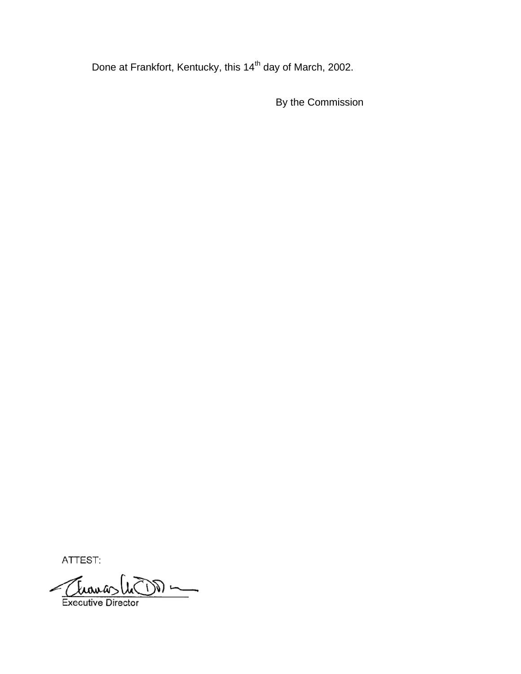Done at Frankfort, Kentucky, this 14<sup>th</sup> day of March, 2002.

By the Commission

ATTEST:

Thomas Cu DD

**Executive Director**